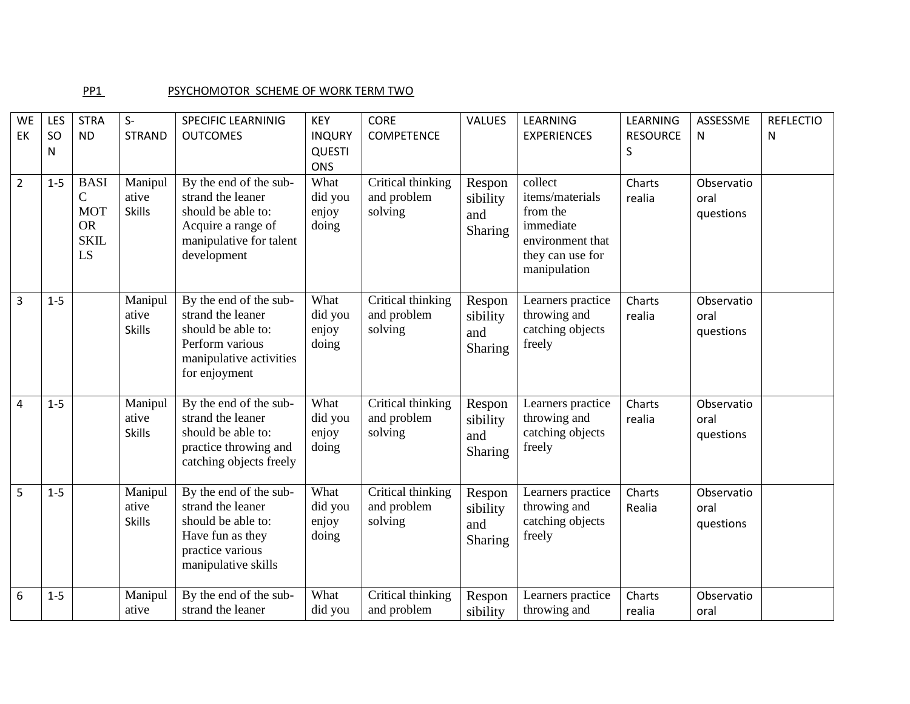## PP1 PSYCHOMOTOR SCHEME OF WORK TERM TWO

| <b>WE</b><br>EK | LES<br><b>SO</b><br>N | <b>STRA</b><br><b>ND</b>                                                    | $S-$<br><b>STRAND</b>             | SPECIFIC LEARNINIG<br><b>OUTCOMES</b>                                                                                             | <b>KEY</b><br><b>INQURY</b><br><b>QUESTI</b><br><b>ONS</b> | <b>CORE</b><br><b>COMPETENCE</b>            | VALUES                               | LEARNING<br><b>EXPERIENCES</b>                                                                              | LEARNING<br><b>RESOURCE</b><br>S | ASSESSME<br>N                   | <b>REFLECTIO</b><br>N |
|-----------------|-----------------------|-----------------------------------------------------------------------------|-----------------------------------|-----------------------------------------------------------------------------------------------------------------------------------|------------------------------------------------------------|---------------------------------------------|--------------------------------------|-------------------------------------------------------------------------------------------------------------|----------------------------------|---------------------------------|-----------------------|
| $\overline{2}$  | $1 - 5$               | <b>BASI</b><br>$\mathsf{C}$<br><b>MOT</b><br><b>OR</b><br><b>SKIL</b><br>LS | Manipul<br>ative<br><b>Skills</b> | By the end of the sub-<br>strand the leaner<br>should be able to:<br>Acquire a range of<br>manipulative for talent<br>development | What<br>did you<br>enjoy<br>doing                          | Critical thinking<br>and problem<br>solving | Respon<br>sibility<br>and<br>Sharing | collect<br>items/materials<br>from the<br>immediate<br>environment that<br>they can use for<br>manipulation | Charts<br>realia                 | Observatio<br>oral<br>questions |                       |
| 3               | $1 - 5$               |                                                                             | Manipul<br>ative<br><b>Skills</b> | By the end of the sub-<br>strand the leaner<br>should be able to:<br>Perform various<br>manipulative activities<br>for enjoyment  | What<br>did you<br>enjoy<br>doing                          | Critical thinking<br>and problem<br>solving | Respon<br>sibility<br>and<br>Sharing | Learners practice<br>throwing and<br>catching objects<br>freely                                             | Charts<br>realia                 | Observatio<br>oral<br>questions |                       |
| 4               | $1-5$                 |                                                                             | Manipul<br>ative<br><b>Skills</b> | By the end of the sub-<br>strand the leaner<br>should be able to:<br>practice throwing and<br>catching objects freely             | What<br>did you<br>enjoy<br>doing                          | Critical thinking<br>and problem<br>solving | Respon<br>sibility<br>and<br>Sharing | Learners practice<br>throwing and<br>catching objects<br>freely                                             | Charts<br>realia                 | Observatio<br>oral<br>questions |                       |
| 5               | $1-5$                 |                                                                             | Manipul<br>ative<br><b>Skills</b> | By the end of the sub-<br>strand the leaner<br>should be able to:<br>Have fun as they<br>practice various<br>manipulative skills  | What<br>did you<br>enjoy<br>doing                          | Critical thinking<br>and problem<br>solving | Respon<br>sibility<br>and<br>Sharing | Learners practice<br>throwing and<br>catching objects<br>freely                                             | Charts<br>Realia                 | Observatio<br>oral<br>questions |                       |
| 6               | $1 - 5$               |                                                                             | Manipul<br>ative                  | By the end of the sub-<br>strand the leaner                                                                                       | What<br>did you                                            | Critical thinking<br>and problem            | Respon<br>sibility                   | Learners practice<br>throwing and                                                                           | Charts<br>realia                 | Observatio<br>oral              |                       |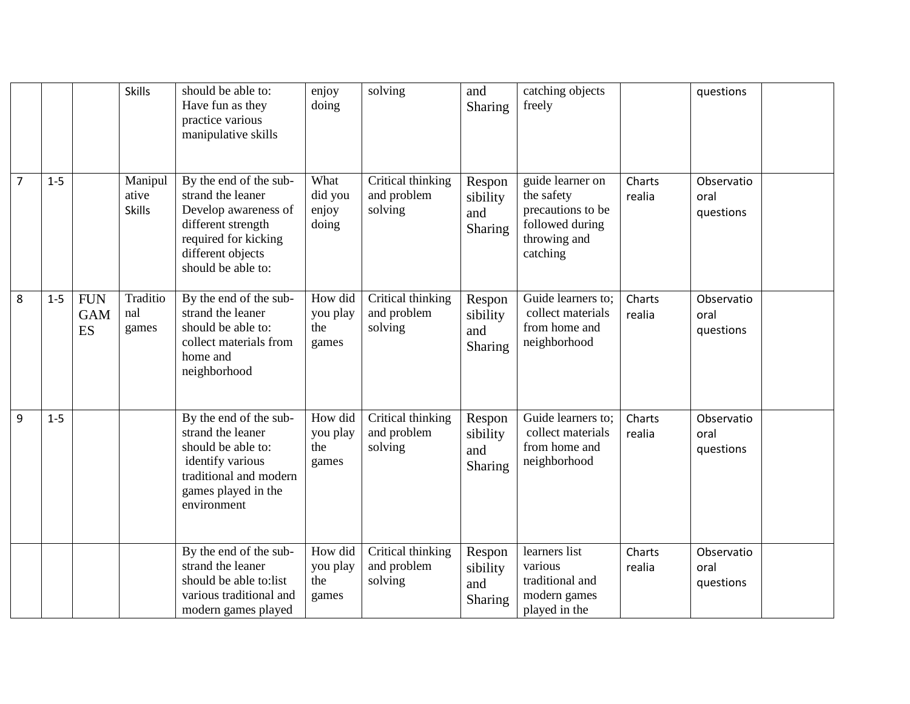|                |         |                                | <b>Skills</b>                     | should be able to:<br>Have fun as they<br>practice various<br>manipulative skills                                                                            | enjoy<br>doing                      | solving                                     | and<br>Sharing                              | catching objects<br>freely                                                                         |                  | questions                       |  |
|----------------|---------|--------------------------------|-----------------------------------|--------------------------------------------------------------------------------------------------------------------------------------------------------------|-------------------------------------|---------------------------------------------|---------------------------------------------|----------------------------------------------------------------------------------------------------|------------------|---------------------------------|--|
| $\overline{7}$ | $1 - 5$ |                                | Manipul<br>ative<br><b>Skills</b> | By the end of the sub-<br>strand the leaner<br>Develop awareness of<br>different strength<br>required for kicking<br>different objects<br>should be able to: | What<br>did you<br>enjoy<br>doing   | Critical thinking<br>and problem<br>solving | Respon<br>sibility<br>and<br><b>Sharing</b> | guide learner on<br>the safety<br>precautions to be<br>followed during<br>throwing and<br>catching | Charts<br>realia | Observatio<br>oral<br>questions |  |
| 8              | $1 - 5$ | <b>FUN</b><br><b>GAM</b><br>ES | Traditio<br>nal<br>games          | By the end of the sub-<br>strand the leaner<br>should be able to:<br>collect materials from<br>home and<br>neighborhood                                      | How did<br>you play<br>the<br>games | Critical thinking<br>and problem<br>solving | Respon<br>sibility<br>and<br>Sharing        | Guide learners to;<br>collect materials<br>from home and<br>neighborhood                           | Charts<br>realia | Observatio<br>oral<br>questions |  |
| 9              | $1 - 5$ |                                |                                   | By the end of the sub-<br>strand the leaner<br>should be able to:<br>identify various<br>traditional and modern<br>games played in the<br>environment        | How did<br>you play<br>the<br>games | Critical thinking<br>and problem<br>solving | Respon<br>sibility<br>and<br>Sharing        | Guide learners to;<br>collect materials<br>from home and<br>neighborhood                           | Charts<br>realia | Observatio<br>oral<br>questions |  |
|                |         |                                |                                   | By the end of the sub-<br>strand the leaner<br>should be able to:list<br>various traditional and<br>modern games played                                      | How did<br>you play<br>the<br>games | Critical thinking<br>and problem<br>solving | Respon<br>sibility<br>and<br>Sharing        | learners list<br>various<br>traditional and<br>modern games<br>played in the                       | Charts<br>realia | Observatio<br>oral<br>questions |  |